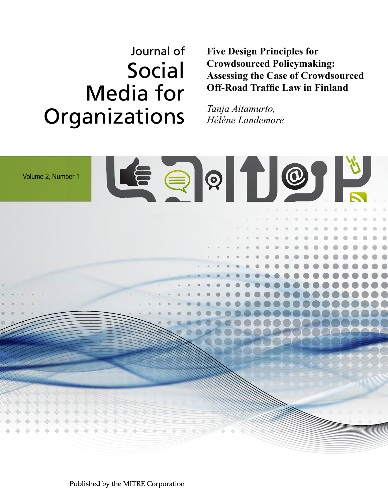# Journal of Social Media for Organizations

**Five Design Principles for Crowdsourced Policymaking: Assessing the Case of Crowdsourced Off-Road Traffic Law in Finland**

*Tanja Aitamurto, Hélène Landemore*

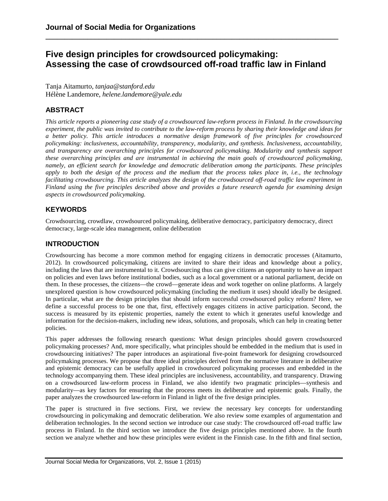# **Five design principles for crowdsourced policymaking: Assessing the case of crowdsourced off-road traffic law in Finland**

**\_\_\_\_\_\_\_\_\_\_\_\_\_\_\_\_\_\_\_\_\_\_\_\_\_\_\_\_\_\_\_\_\_\_\_\_\_\_\_\_\_\_\_\_\_\_\_\_\_\_\_\_\_\_\_\_\_\_\_\_\_\_\_\_\_\_\_\_\_\_\_\_\_\_\_\_\_**

Tanja Aitamurto, *tanjaa@stanford.edu* Hélène Landemore, *helene.landemore@yale.edu*

# **ABSTRACT**

This article reports a pioneering case study of a crowdsourced law-reform process in Finland. In the crowdsourcing experiment, the public was invited to contribute to the law-reform process by sharing their knowledge and ideas for *a better policy. This article introduces a normative design framework of five principles for crowdsourced policymaking: inclusiveness, accountability, transparency, modularity, and synthesis. Inclusiveness, accountability, and transparency are overarching principles for crowdsourced policymaking. Modularity and synthesis support these overarching principles and are instrumental in achieving the main goals of crowdsourced policymaking, namely, an efficient search for knowledge and democratic deliberation among the participants. These principles* apply to both the design of the process and the medium that the process takes place in, i.e., the technology *facilitating crowdsourcing. This article analyzes the design of the crowdsourced off-road traffic law experiment in Finland using the five principles described above and provides a future research agenda for examining design aspects in crowdsourced policymaking.*

# **KEYWORDS**

Crowdsourcing, crowdlaw, crowdsourced policymaking, deliberative democracy, participatory democracy, direct democracy, large-scale idea management, online deliberation

# **INTRODUCTION**

Crowdsourcing has become a more common method for engaging citizens in democratic processes (Aitamurto, 2012). In crowdsourced policymaking, citizens are invited to share their ideas and knowledge about a policy, including the laws that are instrumental to it. Crowdsourcing thus can give citizens an opportunity to have an impact on policies and even laws before institutional bodies, such as a local government or a national parliament, decide on them. In these processes, the citizens—the crowd—generate ideas and work together on online platforms. A largely unexplored question is how crowdsourced policymaking (including the medium it uses) should ideally be designed. In particular, what are the design principles that should inform successful crowdsourced policy reform? Here, we define a successful process to be one that, first, effectively engages citizens in active participation. Second, the success is measured by its epistemic properties, namely the extent to which it generates useful knowledge and information for the decision-makers, including new ideas, solutions, and proposals, which can help in creating better policies.

This paper addresses the following research questions: What design principles should govern crowdsourced policymaking processes? And, more specifically, what principles should be embedded in the medium that is used in crowdsourcing initiatives? The paper introduces an aspirational five-point framework for designing crowdsourced policymaking processes. We propose that three ideal principles derived from the normative literature in deliberative and epistemic democracy can be usefully applied in crowdsourced policymaking processes and embedded in the technology accompanying them. These ideal principles are inclusiveness, accountability, and transparency. Drawing on a crowdsourced law-reform process in Finland, we also identify two pragmatic principles—synthesis and modularity—as key factors for ensuring that the process meets its deliberative and epistemic goals. Finally, the paper analyzes the crowdsourced law-reform in Finland in light of the five design principles.

The paper is structured in five sections. First, we review the necessary key concepts for understanding crowdsourcing in policymaking and democratic deliberation. We also review some examples of argumentation and deliberation technologies. In the second section we introduce our case study: The crowdsourced off-road traffic law process in Finland. In the third section we introduce the five design principles mentioned above. In the fourth section we analyze whether and how these principles were evident in the Finnish case. In the fifth and final section,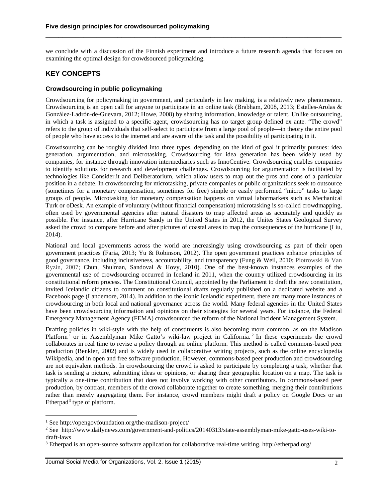we conclude with a discussion of the Finnish experiment and introduce a future research agenda that focuses on examining the optimal design for crowdsourced policymaking.

**\_\_\_\_\_\_\_\_\_\_\_\_\_\_\_\_\_\_\_\_\_\_\_\_\_\_\_\_\_\_\_\_\_\_\_\_\_\_\_\_\_\_\_\_\_\_\_\_\_\_\_\_\_\_\_\_\_\_\_\_\_\_\_\_\_\_\_\_\_\_**

## **KEY CONCEPTS**

#### **Crowdsourcing in public policymaking**

Crowdsourcing for policymaking in government, and particularly in law making, is a relatively new phenomenon. Crowdsourcing is an open call for anyone to participate in an online task (Brabham, 2008, 2013; Estelles-Arolas & González-Ladrón-de-Guevara, 2012; Howe, 2008) by sharing information, knowledge or talent. Unlike outsourcing, in which a task is assigned to a specific agent, crowdsourcing has no target group defined ex ante. "The crowd" refers to the group of individuals that self-select to participate from a large pool of people—in theory the entire pool of people who have access to the internet and are aware of the task and the possibility of participating in it.

Crowdsourcing can be roughly divided into three types, depending on the kind of goal it primarily pursues: idea generation, argumentation, and microtasking. Crowdsourcing for idea generation has been widely used by companies, for instance through innovation intermediaries such as InnoCentive. Crowdsourcing enables companies to identify solutions for research and development challenges. Crowdsourcing for argumentation is facilitated by technologies like Consider.it and Deliberatorium, which allow users to map out the pros and cons of a particular position in a debate. In crowdsourcing for microtasking, private companies or public organizations seek to outsource (sometimes for a monetary compensation, sometimes for free) simple or easily performed "micro" tasks to large groups of people. Microtasking for monetary compensation happens on virtual labormarkets such as Mechanical Turk or oDesk. An example of voluntary (without financial compensation) microtasking is so-called crowdmapping, often used by governmental agencies after natural disasters to map affected areas as accurately and quickly as possible. For instance, after Hurricane Sandy in the United States in 2012, the Unites States Geological Survey asked the crowd to compare before and after pictures of coastal areas to map the consequences of the hurricane (Liu, 2014).

National and local governments across the world are increasingly using crowdsourcing as part of their open government practices (Faria, 2013; Yu & Robinson, 2012). The open government practices enhance principles of good governance, including inclusiveness, accountability, and transparency (Fung & Weil, 2010; Piotrowski & Van Ryzin, 2007; Chun, Shulman, Sandoval & Hovy, 2010). One of the best-known instances examples of the governmental use of crowdsourcing occurred in Iceland in 2011, when the country utilized crowdsourcing in its constitutional reform process. The Constitutional Council, appointed by the Parliament to draft the new constitution, invited Icelandic citizens to comment on constitutional drafts regularly published on a dedicated website and a Facebook page (Landemore, 2014). In addition to the iconic Icelandic experiment, there are many more instances of crowdsourcing in both local and national governance across the world. Many federal agencies in the United States have been crowdsourcing information and opinions on their strategies for several years. For instance, the Federal Emergency Management Agency (FEMA) crowdsourced the reform of the National Incident Management System.

Drafting policies in wiki-style with the help of constituents is also becoming more common, as on the Madison Platform<sup>[1](#page-2-0)</sup> or in Assemblyman Mike Gatto's wiki-law project in California.<sup>[2](#page-2-1)</sup> In these experiments the crowd collaborates in real time to revise a policy through an online platform. This method is called commons-based peer production (Benkler, 2002) and is widely used in collaborative writing projects, such as the online encyclopedia Wikipedia, and in open and free software production. However, commons-based peer production and crowdsourcing are not equivalent methods. In crowdsourcing the crowd is asked to participate by completing a task, whether that task is sending a picture, submitting ideas or opinions, or sharing their geographic location on a map. The task is typically a one-time contribution that does not involve working with other contributors. In commons-based peer production, by contrast, members of the crowd collaborate together to create something, merging their contributions rather than merely aggregating them. For instance, crowd members might draft a policy on Google Docs or an Etherpad<sup>[3](#page-2-2)</sup> type of platform.

 $\overline{a}$ 

Journal Social Media for Organizations, Vol. 2, Issue 1 (2015) 2

<span id="page-2-0"></span><sup>1</sup> See http://opengovfoundation.org/the-madison-project/

<span id="page-2-1"></span><sup>2</sup> See http://www.dailynews.com/government-and-politics/20140313/state-assemblyman-mike-gatto-uses-wiki-todraft-laws

<span id="page-2-2"></span><sup>3</sup> Etherpad is an open-source software application for collaborative real-time writing. http://etherpad.org/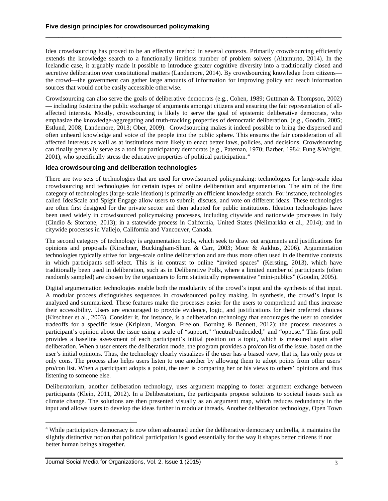Idea crowdsourcing has proved to be an effective method in several contexts. Primarily crowdsourcing efficiently extends the knowledge search to a functionally limitless number of problem solvers (Aitamurto, 2014). In the Icelandic case, it arguably made it possible to introduce greater cognitive diversity into a traditionally closed and secretive deliberation over constitutional matters (Landemore, 2014). By crowdsourcing knowledge from citizens the crowd—the government can gather large amounts of information for improving policy and reach information sources that would not be easily accessible otherwise.

**\_\_\_\_\_\_\_\_\_\_\_\_\_\_\_\_\_\_\_\_\_\_\_\_\_\_\_\_\_\_\_\_\_\_\_\_\_\_\_\_\_\_\_\_\_\_\_\_\_\_\_\_\_\_\_\_\_\_\_\_\_\_\_\_\_\_\_\_\_\_**

Crowdsourcing can also serve the goals of deliberative democrats (e.g., Cohen, 1989; Guttman & Thompson, 2002) — including fostering the public exchange of arguments amongst citizens and ensuring the fair representation of allaffected interests. Mostly, crowdsourcing is likely to serve the goal of epistemic deliberative democrats, who emphasize the knowledge-aggregating and truth-tracking properties of democratic deliberation, (e.g., Goodin, 2005; Estlund, 2008; Landemore, 2013; Ober, 2009). Crowdsourcing makes it indeed possible to bring the dispersed and often unheard knowledge and voice of the people into the public sphere. This ensures the fair consideration of all affected interests as well as at institutions more likely to enact better laws, policies, and decisions. Crowdsourcing can finally generally serve as a tool for participatory democrats (e.g., Pateman, 1970; Barber, 1984; Fung &Wright, 2001), who specifically stress the educative properties of political participation. [4](#page-3-0)

#### **Idea crowdsourcing and deliberation technologies**

There are two sets of technologies that are used for crowdsourced policymaking: technologies for large-scale idea crowdsourcing and technologies for certain types of online deliberation and argumentation. The aim of the first category of technologies (large-scale ideation) is primarily an efficient knowledge search. For instance, technologies called IdeaScale and Spigit Engage allow users to submit, discuss, and vote on different ideas. These technologies are often first designed for the private sector and then adapted for public institutions. Ideation technologies have been used widely in crowdsourced policymaking processes, including citywide and nationwide processes in Italy (Cindio & Stortone, 2013); in a statewide process in California, United States (Nelimarkka et al., 2014); and in citywide processes in Vallejo, California and Vancouver, Canada.

The second category of technology is argumentation tools, which seek to draw out arguments and justifications for opinions and proposals (Kirschner, Buckingham-Shum & Carr, 2003; Moor & Aakhus, 2006). Argumentation technologies typically strive for large-scale online deliberation and are thus more often used in deliberative contexts in which participants self-select. This is in contrast to online "invited spaces" (Kersting, 2013), which have traditionally been used in deliberation, such as in Deliberative Polls, where a limited number of participants (often randomly sampled) are chosen by the organizers to form statistically representative "mini-publics" (Goodin, 2005).

Digital argumentation technologies enable both the modularity of the crowd's input and the synthesis of that input. A modular process distinguishes sequences in crowdsourced policy making. In synthesis, the crowd's input is analyzed and summarized. These features make the processes easier for the users to comprehend and thus increase their accessibility. Users are encouraged to provide evidence, logic, and justifications for their preferred choices (Kirschner et al., 2003). Consider it, for instance, is a deliberation technology that encourages the user to consider tradeoffs for a specific issue (Kriplean, Morgan, Freelon, Borning & Bennett, 2012); the process measures a participant's opinion about the issue using a scale of "support," "neutral/undecided," and "oppose." This first poll provides a baseline assessment of each participant's initial position on a topic, which is measured again after deliberation. When a user enters the deliberation mode, the program provides a pro/con list of the issue, based on the user's initial opinions. Thus, the technology clearly visualizes if the user has a biased view, that is, has only pros or only cons. The process also helps users listen to one another by allowing them to adopt points from other users' pro/con list. When a participant adopts a point, the user is comparing her or his views to others' opinions and thus listening to someone else.

Deliberatorium, another deliberation technology, uses argument mapping to foster argument exchange between participants (Klein, 2011, 2012). In a Deliberatorium, the participants propose solutions to societal issues such as climate change. The solutions are then presented visually as an argument map, which reduces redundancy in the input and allows users to develop the ideas further in modular threads. Another deliberation technology, Open Town

<span id="page-3-0"></span><sup>4</sup> While participatory democracy is now often subsumed under the deliberative democracy umbrella, it maintains the slightly distinctive notion that political participation is good essentially for the way it shapes better citizens if not better human beings altogether.  $\overline{a}$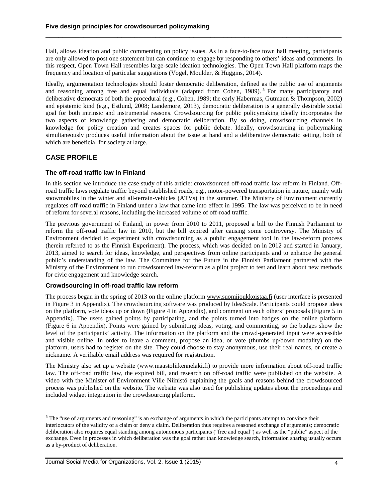Hall, allows ideation and public commenting on policy issues. As in a face-to-face town hall meeting, participants are only allowed to post one statement but can continue to engage by responding to others' ideas and comments. In this respect, Open Town Hall resembles large-scale ideation technologies. The Open Town Hall platform maps the frequency and location of particular suggestions (Vogel, Moulder, & Huggins, 2014).

**\_\_\_\_\_\_\_\_\_\_\_\_\_\_\_\_\_\_\_\_\_\_\_\_\_\_\_\_\_\_\_\_\_\_\_\_\_\_\_\_\_\_\_\_\_\_\_\_\_\_\_\_\_\_\_\_\_\_\_\_\_\_\_\_\_\_\_\_\_\_**

Ideally, argumentation technologies should foster democratic deliberation, defined as the public use of arguments and reasoning among free and equal individuals (adapted from Cohen, 1989).<sup>[5](#page-4-0)</sup> For many participatory and deliberative democrats of both the procedural (e.g., Cohen, 1989; the early Habermas, Gutmann & Thompson, 2002) and epistemic kind (e.g., Estlund, 2008; Landemore, 2013), democratic deliberation is a generally desirable social goal for both intrinsic and instrumental reasons. Crowdsourcing for public policymaking ideally incorporates the two aspects of knowledge gathering and democratic deliberation. By so doing, crowdsourcing channels in knowledge for policy creation and creates spaces for public debate. Ideally, crowdsourcing in policymaking simultaneously produces useful information about the issue at hand and a deliberative democratic setting, both of which are beneficial for society at large.

# **CASE PROFILE**

 $\overline{a}$ 

#### **The off-road traffic law in Finland**

In this section we introduce the case study of this article: crowdsourced off-road traffic law reform in Finland. Offroad traffic laws regulate traffic beyond established roads, e.g., motor-powered transportation in nature, mainly with snowmobiles in the winter and all-terrain-vehicles (ATVs) in the summer. The Ministry of Environment currently regulates off-road traffic in Finland under a law that came into effect in 1995. The law was perceived to be in need of reform for several reasons, including the increased volume of off-road traffic.

The previous government of Finland, in power from 2010 to 2011, proposed a bill to the Finnish Parliament to reform the off-road traffic law in 2010, but the bill expired after causing some controversy. The Ministry of Environment decided to experiment with crowdsourcing as a public engagement tool in the law-reform process (herein referred to as the Finnish Experiment). The process, which was decided on in 2012 and started in January, 2013, aimed to search for ideas, knowledge, and perspectives from online participants and to enhance the general public's understanding of the law. The Committee for the Future in the Finnish Parliament partnered with the Ministry of the Environment to run crowdsourced law-reform as a pilot project to test and learn about new methods for civic engagement and knowledge search.

#### **Crowdsourcing in off-road traffic law reform**

The process began in the spring of 2013 on the online platform [www.suomijoukkoistaa.fi](http://www.suomijoukkoistaa.fi/) (user interface is presented in Figure 3 in Appendix). The crowdsourcing software was produced by IdeaScale. Participants could propose ideas on the platform, vote ideas up or down (Figure 4 in Appendix), and comment on each others' proposals (Figure 5 in Appendix). The users gained points by participating, and the points turned into badges on the online platform (Figure 6 in Appendix). Points were gained by submitting ideas, voting, and commenting, so the badges show the level of the participants' activity. The information on the platform and the crowd-generated input were accessible and visible online. In order to leave a comment, propose an idea, or vote (thumbs up/down modality) on the platform, users had to register on the site. They could choose to stay anonymous, use their real names, or create a nickname. A verifiable email address was required for registration.

The Ministry also set up a website [\(www.maastoliikennelaki.fi\)](http://www.maastoliikennelaki.fi/) to provide more information about off-road traffic law. The off-road traffic law, the expired bill, and research on off-road traffic were published on the website. A video with the Minister of Environment Ville Niinistö explaining the goals and reasons behind the crowdsourced process was published on the website. The website was also used for publishing updates about the proceedings and included widget integration in the crowdsourcing platform.

<span id="page-4-0"></span> $<sup>5</sup>$  The "use of arguments and reasoning" is an exchange of arguments in which the participants attempt to convince their</sup> interlocutors of the validity of a claim or deny a claim. Deliberation thus requires a reasoned exchange of arguments; democratic deliberation also requires equal standing among autonomous participants ("free and equal") as well as the "public" aspect of the exchange. Even in processes in which deliberation was the goal rather than knowledge search, information sharing usually occurs as a by-product of deliberation.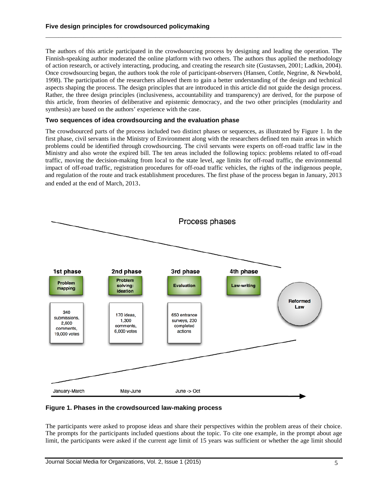The authors of this article participated in the crowdsourcing process by designing and leading the operation. The Finnish-speaking author moderated the online platform with two others. The authors thus applied the methodology of action research, or actively interacting, producing, and creating the research site (Gustavsen, 2001; Ladkin, 2004). Once crowdsourcing began, the authors took the role of participant-observers (Hansen, Cottle, Negrine, & Newbold, 1998). The participation of the researchers allowed them to gain a better understanding of the design and technical aspects shaping the process. The design principles that are introduced in this article did not guide the design process. Rather, the three design principles (inclusiveness, accountability and transparency) are derived, for the purpose of this article, from theories of deliberative and epistemic democracy, and the two other principles (modularity and synthesis) are based on the authors' experience with the case.

**\_\_\_\_\_\_\_\_\_\_\_\_\_\_\_\_\_\_\_\_\_\_\_\_\_\_\_\_\_\_\_\_\_\_\_\_\_\_\_\_\_\_\_\_\_\_\_\_\_\_\_\_\_\_\_\_\_\_\_\_\_\_\_\_\_\_\_\_\_\_**

#### **Two sequences of idea crowdsourcing and the evaluation phase**

The crowdsourced parts of the process included two distinct phases or sequences, as illustrated by Figure 1. In the first phase, civil servants in the Ministry of Environment along with the researchers defined ten main areas in which problems could be identified through crowdsourcing. The civil servants were experts on off-road traffic law in the Ministry and also wrote the expired bill. The ten areas included the following topics: problems related to off-road traffic, moving the decision-making from local to the state level, age limits for off-road traffic, the environmental impact of off-road traffic, registration procedures for off-road traffic vehicles, the rights of the indigenous people, and regulation of the route and track establishment procedures. The first phase of the process began in January, 2013 and ended at the end of March, 2013.



**Figure 1. Phases in the crowdsourced law-making process**

The participants were asked to propose ideas and share their perspectives within the problem areas of their choice. The prompts for the participants included questions about the topic. To cite one example, in the prompt about age limit, the participants were asked if the current age limit of 15 years was sufficient or whether the age limit should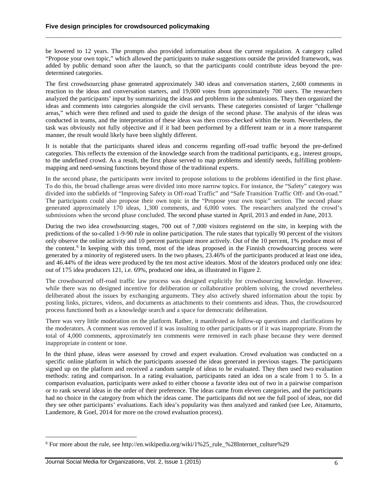be lowered to 12 years. The prompts also provided information about the current regulation. A category called "Propose your own topic," which allowed the participants to make suggestions outside the provided framework, was added by public demand soon after the launch, so that the participants could contribute ideas beyond the predetermined categories.

**\_\_\_\_\_\_\_\_\_\_\_\_\_\_\_\_\_\_\_\_\_\_\_\_\_\_\_\_\_\_\_\_\_\_\_\_\_\_\_\_\_\_\_\_\_\_\_\_\_\_\_\_\_\_\_\_\_\_\_\_\_\_\_\_\_\_\_\_\_\_**

The first crowdsourcing phase generated approximately 340 ideas and conversation starters, 2,600 comments in reaction to the ideas and conversation starters, and 19,000 votes from approximately 700 users. The researchers analyzed the participants' input by summarizing the ideas and problems in the submissions. They then organized the ideas and comments into categories alongside the civil servants. These categories consisted of larger "challenge areas," which were then refined and used to guide the design of the second phase. The analysis of the ideas was conducted in teams, and the interpretation of these ideas was then cross-checked within the team. Nevertheless, the task was obviously not fully objective and if it had been performed by a different team or in a more transparent manner, the result would likely have been slightly different.

It is notable that the participants shared ideas and concerns regarding off-road traffic beyond the pre-defined categories. This reflects the extension of the knowledge search from the traditional participants, e.g., interest groups, to the undefined crowd. As a result, the first phase served to map problems and identify needs, fulfilling problemmapping and need-sensing functions beyond those of the traditional experts.

In the second phase, the participants were invited to propose solutions to the problems identified in the first phase. To do this, the broad challenge areas were divided into more narrow topics. For instance, the "Safety" category was divided into the subfields of "Improving Safety in Off-road Traffic" and "Safe Transition Traffic Off- and On-road." The participants could also propose their own topic in the "Propose your own topic" section. The second phase generated approximately 170 ideas, 1,300 comments, and 6,000 votes. The researchers analyzed the crowd's submissions when the second phase concluded. The second phase started in April, 2013 and ended in June, 2013.

During the two idea crowdsourcing stages, 700 out of 7,000 visitors registered on the site, in keeping with the predictions of the so-called 1-9-90 rule in online participation. The rule states that typically 90 percent of the visitors only observe the online activity and 10 percent participate more actively. Out of the 10 percent, 1% produce most of the content.[6](#page-6-0) In keeping with this trend, most of the ideas proposed in the Finnish crowdsourcing process were generated by a minority of registered users. In the two phases, 23.46% of the participants produced at least one idea, and 46.44% of the ideas were produced by the ten most active ideators. Most of the ideators produced only one idea: out of 175 idea producers 121, i.e. 69%, produced one idea, as illustrated in Figure 2.

The crowdsourced off-road traffic law process was designed explicitly for crowdsourcing knowledge. However, while there was no designed incentive for deliberation or collaborative problem solving, the crowd nevertheless deliberated about the issues by exchanging arguments. They also actively shared information about the topic by posting links, pictures, videos, and documents as attachments to their comments and ideas. Thus, the crowdsourced process functioned both as a knowledge search and a space for democratic deliberation.

There was very little moderation on the platform. Rather, it manifested as follow-up questions and clarifications by the moderators. A comment was removed if it was insulting to other participants or if it was inappropriate. From the total of 4,000 comments, approximately ten comments were removed in each phase because they were deemed inappropriate in content or tone.

In the third phase, ideas were assessed by crowd and expert evaluation. Crowd evaluation was conducted on a specific online platform in which the participants assessed the ideas generated in previous stages. The participants signed up on the platform and received a random sample of ideas to be evaluated. They then used two evaluation methods: rating and comparison. In a rating evaluation, participants rated an idea on a scale from 1 to 5. In a comparison evaluation, participants were asked to either choose a favorite idea out of two in a pairwise comparison or to rank several ideas in the order of their preference. The ideas came from eleven categories, and the participants had no choice in the category from which the ideas came. The participants did not see the full pool of ideas, nor did they see other participants' evaluations. Each idea's popularity was then analyzed and ranked (see Lee, Aitamurto, Landemore, & Goel, 2014 for more on the crowd evaluation process).

 $\overline{a}$ 

<span id="page-6-0"></span><sup>6</sup> For more about the rule, see http://en.wikipedia.org/wiki/1%25\_rule\_%28Internet\_culture%29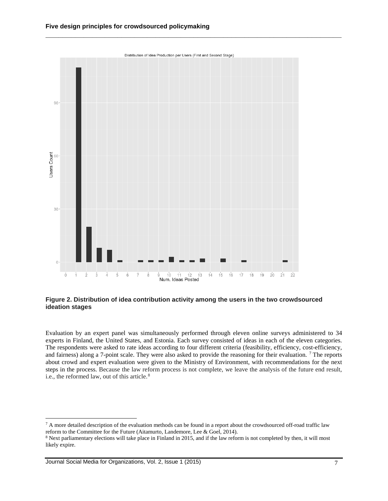

**Figure 2. Distribution of idea contribution activity among the users in the two crowdsourced ideation stages**

Evaluation by an expert panel was simultaneously performed through eleven online surveys administered to 34 experts in Finland, the United States, and Estonia. Each survey consisted of ideas in each of the eleven categories. The respondents were asked to rate ideas according to four different criteria (feasibility, efficiency, cost-efficiency, and fairness) along a 7-point scale. They were also asked to provide the reasoning for their evaluation. [7](#page-7-0) The reports about crowd and expert evaluation were given to the Ministry of Environment, with recommendations for the next steps in the process. Because the law reform process is not complete, we leave the analysis of the future end result, i.e., the reformed law, out of this article.<sup>[8](#page-7-1)</sup>

 $\overline{a}$ 

<span id="page-7-0"></span> $7$  A more detailed description of the evaluation methods can be found in a report about the crowdsourced off-road traffic law reform to the Committee for the Future (Aitamurto, Landemore, Lee & Goel, 2014).

<span id="page-7-1"></span><sup>8</sup> Next parliamentary elections will take place in Finland in 2015, and if the law reform is not completed by then, it will most likely expire.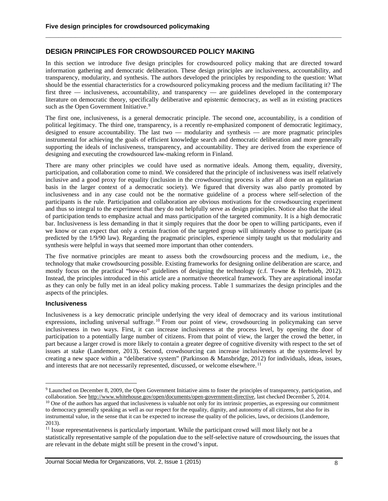## **DESIGN PRINCIPLES FOR CROWDSOURCED POLICY MAKING**

In this section we introduce five design principles for crowdsourced policy making that are directed toward information gathering and democratic deliberation. These design principles are inclusiveness, accountability, and transparency, modularity, and synthesis. The authors developed the principles by responding to the question: What should be the essential characteristics for a crowdsourced policymaking process and the medium facilitating it? The first three — inclusiveness, accountability, and transparency — are guidelines developed in the contemporary literature on democratic theory, specifically deliberative and epistemic democracy, as well as in existing practices such as the Open Government Initiative.<sup>[9](#page-8-0)</sup>

**\_\_\_\_\_\_\_\_\_\_\_\_\_\_\_\_\_\_\_\_\_\_\_\_\_\_\_\_\_\_\_\_\_\_\_\_\_\_\_\_\_\_\_\_\_\_\_\_\_\_\_\_\_\_\_\_\_\_\_\_\_\_\_\_\_\_\_\_\_\_**

The first one, inclusiveness, is a general democratic principle. The second one, accountability, is a condition of political legitimacy. The third one, transparency, is a recently re-emphasized component of democratic legitimacy, designed to ensure accountability. The last two — modularity and synthesis — are more pragmatic principles instrumental for achieving the goals of efficient knowledge search and democratic deliberation and more generally supporting the ideals of inclusiveness, transparency, and accountability. They are derived from the experience of designing and executing the crowdsourced law-making reform in Finland.

There are many other principles we could have used as normative ideals. Among them, equality, diversity, participation, and collaboration come to mind. We considered that the principle of inclusiveness was itself relatively inclusive and a good proxy for equality (inclusion in the crowdsourcing process is after all done on an egalitarian basis in the larger context of a democratic society). We figured that diversity was also partly promoted by inclusiveness and in any case could not be the normative guideline of a process where self-selection of the participants is the rule. Participation and collaboration are obvious motivations for the crowdsourcing experiment and thus so integral to the experiment that they do not helpfully serve as design principles. Notice also that the ideal of participation tends to emphasize actual and mass participation of the targeted community. It is a high democratic bar. Inclusiveness is less demanding in that it simply requires that the door be open to willing participants, even if we know or can expect that only a certain fraction of the targeted group will ultimately choose to participate (as predicted by the 1/9/90 law). Regarding the pragmatic principles, experience simply taught us that modularity and synthesis were helpful in ways that seemed more important than other contenders.

The five normative principles are meant to assess both the crowdsourcing process and the medium, i.e., the technology that make crowdsourcing possible. Existing frameworks for designing online deliberation are scarce, and mostly focus on the practical "how-to" guidelines of designing the technology (c.f. Towne & Herbsleb, 2012). Instead, the principles introduced in this article are a normative theoretical framework. They are aspirational insofar as they can only be fully met in an ideal policy making process. Table 1 summarizes the design principles and the aspects of the principles.

#### **Inclusiveness**

 $\overline{a}$ 

Inclusiveness is a key democratic principle underlying the very ideal of democracy and its various institutional expressions, including universal suffrage. [10](#page-8-1) From our point of view, crowdsourcing in policymaking can serve inclusiveness in two ways. First, it can increase inclusiveness at the process level, by opening the door of participation to a potentially large number of citizens. From that point of view, the larger the crowd the better, in part because a larger crowd is more likely to contain a greater degree of cognitive diversity with respect to the set of issues at stake (Landemore, 2013). Second, crowdsourcing can increase inclusiveness at the systems-level by creating a new space within a "deliberative system" (Parkinson & Mansbridge, 2012) for individuals, ideas, issues, and interests that are not necessarily represented, discussed, or welcome elsewhere.<sup>[11](#page-8-2)</sup>

<span id="page-8-0"></span><sup>9</sup> Launched on December 8, 2009, the Open Government Initiative aims to foster the principles of transparency, participation, and collaboration. See [http://www.whitehouse.gov/open/documents/open-government-directive,](http://www.whitehouse.gov/open/documents/open-government-directive) last checked December 5, 2014.

<span id="page-8-1"></span><sup>&</sup>lt;sup>10</sup> One of the authors has argued that inclusiveness is valuable not only for its intrinsic properties, as expressing our commitment to democracy generally speaking as well as our respect for the equality, dignity, and autonomy of all citizens, but also for its instrumental value, in the sense that it can be expected to increase the quality of the policies, laws, or decisions (Landemore, 2013).

<span id="page-8-2"></span><sup>&</sup>lt;sup>11</sup> Issue representativeness is particularly important. While the participant crowd will most likely not be a statistically representative sample of the population due to the self-selective nature of crowdsourcing, the issues that are relevant in the debate might still be present in the crowd's input.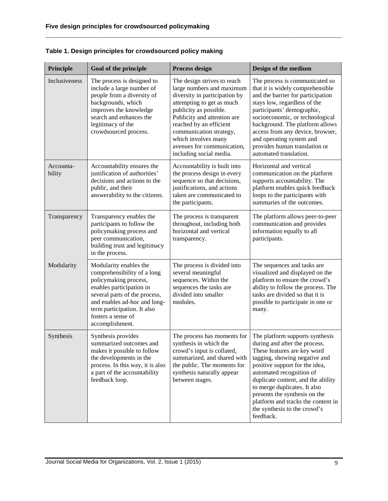| Principle           | <b>Goal of the principle</b>                                                                                                                                                                                                                        | <b>Process design</b>                                                                                                                                                                                                                                                                                                 | Design of the medium                                                                                                                                                                                                                                                                                                                                                                     |
|---------------------|-----------------------------------------------------------------------------------------------------------------------------------------------------------------------------------------------------------------------------------------------------|-----------------------------------------------------------------------------------------------------------------------------------------------------------------------------------------------------------------------------------------------------------------------------------------------------------------------|------------------------------------------------------------------------------------------------------------------------------------------------------------------------------------------------------------------------------------------------------------------------------------------------------------------------------------------------------------------------------------------|
| Inclusiveness       | The process is designed to<br>include a large number of<br>people from a diversity of<br>backgrounds, which<br>improves the knowledge<br>search and enhances the<br>legitimacy of the<br>crowdsourced process.                                      | The design strives to reach<br>large numbers and maximum<br>diversity in participation by<br>attempting to get as much<br>publicity as possible.<br>Publicity and attention are<br>reached by an efficient<br>communication strategy,<br>which involves many<br>avenues for communication,<br>including social media. | The process is communicated so<br>that it is widely comprehensible<br>and the barrier for participation<br>stays low, regardless of the<br>participants' demographic,<br>socioeconomic, or technological<br>background. The platform allows<br>access from any device, browser,<br>and operating system and<br>provides human translation or<br>automated translation.                   |
| Accounta-<br>bility | Accountability ensures the<br>justification of authorities'<br>decisions and actions to the<br>public, and their<br>answerability to the citizens.                                                                                                  | Accountability is built into<br>the process design in every<br>sequence so that decisions,<br>justifications, and actions<br>taken are communicated to<br>the participants.                                                                                                                                           | Horizontal and vertical<br>communication on the platform<br>supports accountability. The<br>platform enables quick feedback<br>loops to the participants with<br>summaries of the outcomes.                                                                                                                                                                                              |
| Transparency        | Transparency enables the<br>participants to follow the<br>policymaking process and<br>peer communication,<br>building trust and legitimacy<br>in the process.                                                                                       | The process is transparent<br>throughout, including both<br>horizontal and vertical<br>transparency.                                                                                                                                                                                                                  | The platform allows peer-to-peer<br>communication and provides<br>information equally to all<br>participants.                                                                                                                                                                                                                                                                            |
| Modularity          | Modularity enables the<br>comprehensibility of a long<br>policymaking process,<br>enables participation in<br>several parts of the process,<br>and enables ad-hoc and long-<br>term participation. It also<br>fosters a sense of<br>accomplishment. | The process is divided into<br>several meaningful<br>sequences. Within the<br>sequences the tasks are<br>divided into smaller<br>modules.                                                                                                                                                                             | The sequences and tasks are<br>visualized and displayed on the<br>platform to ensure the crowd's<br>ability to follow the process. The<br>tasks are divided so that it is<br>possible to participate in one or<br>many.                                                                                                                                                                  |
| Synthesis           | Synthesis provides<br>summarized outcomes and<br>makes it possible to follow<br>the developments in the<br>process. In this way, it is also<br>a part of the accountability<br>feedback loop.                                                       | The process has moments for<br>synthesis in which the<br>crowd's input is collated,<br>summarized, and shared with<br>the public. The moments for<br>synthesis naturally appear<br>between stages.                                                                                                                    | The platform supports synthesis<br>during and after the process.<br>These features are key word<br>tagging, showing negative and<br>positive support for the idea,<br>automated recognition of<br>duplicate content, and the ability<br>to merge duplicates. It also<br>presents the synthesis on the<br>platform and tracks the content in<br>the synthesis to the crowd's<br>feedback. |

**\_\_\_\_\_\_\_\_\_\_\_\_\_\_\_\_\_\_\_\_\_\_\_\_\_\_\_\_\_\_\_\_\_\_\_\_\_\_\_\_\_\_\_\_\_\_\_\_\_\_\_\_\_\_\_\_\_\_\_\_\_\_\_\_\_\_\_\_\_\_**

|  |  | Table 1. Design principles for crowdsourced policy making |  |
|--|--|-----------------------------------------------------------|--|
|--|--|-----------------------------------------------------------|--|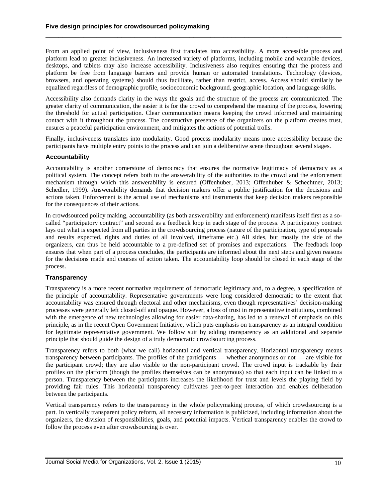From an applied point of view, inclusiveness first translates into accessibility. A more accessible process and platform lead to greater inclusiveness. An increased variety of platforms, including mobile and wearable devices, desktops, and tablets may also increase accessibility. Inclusiveness also requires ensuring that the process and platform be free from language barriers and provide human or automated translations. Technology (devices, browsers, and operating systems) should thus facilitate, rather than restrict, access. Access should similarly be equalized regardless of demographic profile, socioeconomic background, geographic location, and language skills.

**\_\_\_\_\_\_\_\_\_\_\_\_\_\_\_\_\_\_\_\_\_\_\_\_\_\_\_\_\_\_\_\_\_\_\_\_\_\_\_\_\_\_\_\_\_\_\_\_\_\_\_\_\_\_\_\_\_\_\_\_\_\_\_\_\_\_\_\_\_\_**

Accessibility also demands clarity in the ways the goals and the structure of the process are communicated. The greater clarity of communication, the easier it is for the crowd to comprehend the meaning of the process, lowering the threshold for actual participation. Clear communication means keeping the crowd informed and maintaining contact with it throughout the process. The constructive presence of the organizers on the platform creates trust, ensures a peaceful participation environment, and mitigates the actions of potential trolls.

Finally, inclusiveness translates into modularity. Good process modularity means more accessibility because the participants have multiple entry points to the process and can join a deliberative scene throughout several stages.

#### **Accountability**

Accountability is another cornerstone of democracy that ensures the normative legitimacy of democracy as a political system. The concept refers both to the answerability of the authorities to the crowd and the enforcement mechanism through which this answerability is ensured (Offenhuber, 2013; Offenhuber & Schechtner, 2013; Schedler, 1999). Answerability demands that decision makers offer a public justification for the decisions and actions taken. Enforcement is the actual use of mechanisms and instruments that keep decision makers responsible for the consequences of their actions.

In crowdsourced policy making, accountability (as both answerability and enforcement) manifests itself first as a socalled "participatory contract" and second as a feedback loop in each stage of the process. A participatory contract lays out what is expected from all parties in the crowdsourcing process (nature of the participation, type of proposals and results expected, rights and duties of all involved, timeframe etc.) All sides, but mostly the side of the organizers, can thus be held accountable to a pre-defined set of promises and expectations. The feedback loop ensures that when part of a process concludes, the participants are informed about the next steps and given reasons for the decisions made and courses of action taken. The accountability loop should be closed in each stage of the process.

#### **Transparency**

Transparency is a more recent normative requirement of democratic legitimacy and, to a degree, a specification of the principle of accountability. Representative governments were long considered democratic to the extent that accountability was ensured through electoral and other mechanisms, even though representatives' decision-making processes were generally left closed-off and opaque. However, a loss of trust in representative institutions, combined with the emergence of new technologies allowing for easier data-sharing, has led to a renewal of emphasis on this principle, as in the recent Open Government Initiative, which puts emphasis on transparency as an integral condition for legitimate representative government. We follow suit by adding transparency as an additional and separate principle that should guide the design of a truly democratic crowdsourcing process.

Transparency refers to both (what we call) horizontal and vertical transparency. Horizontal transparency means transparency between participants. The profiles of the participants — whether anonymous or not — are visible for the participant crowd; they are also visible to the non-participant crowd. The crowd input is trackable by their profiles on the platform (though the profiles themselves can be anonymous) so that each input can be linked to a person. Transparency between the participants increases the likelihood for trust and levels the playing field by providing fair rules. This horizontal transparency cultivates peer-to-peer interaction and enables deliberation between the participants.

Vertical transparency refers to the transparency in the whole policymaking process, of which crowdsourcing is a part. In vertically transparent policy reform, all necessary information is publicized, including information about the organizers, the division of responsibilities, goals, and potential impacts. Vertical transparency enables the crowd to follow the process even after crowdsourcing is over.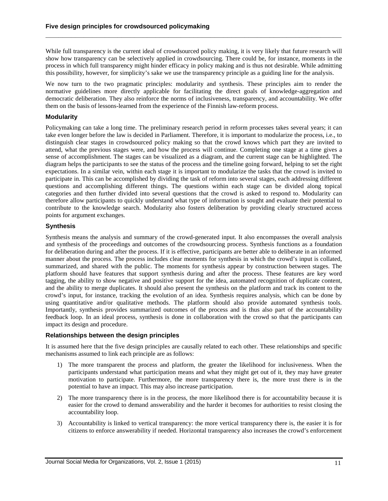While full transparency is the current ideal of crowdsourced policy making, it is very likely that future research will show how transparency can be selectively applied in crowdsourcing. There could be, for instance, moments in the process in which full transparency might hinder efficacy in policy making and is thus not desirable. While admitting this possibility, however, for simplicity's sake we use the transparency principle as a guiding line for the analysis.

**\_\_\_\_\_\_\_\_\_\_\_\_\_\_\_\_\_\_\_\_\_\_\_\_\_\_\_\_\_\_\_\_\_\_\_\_\_\_\_\_\_\_\_\_\_\_\_\_\_\_\_\_\_\_\_\_\_\_\_\_\_\_\_\_\_\_\_\_\_\_**

We now turn to the two pragmatic principles: modularity and synthesis. These principles aim to render the normative guidelines more directly applicable for facilitating the direct goals of knowledge-aggregation and democratic deliberation. They also reinforce the norms of inclusiveness, transparency, and accountability. We offer them on the basis of lessons-learned from the experience of the Finnish law-reform process.

#### **Modularity**

Policymaking can take a long time. The preliminary research period in reform processes takes several years; it can take even longer before the law is decided in Parliament. Therefore, it is important to modularize the process, i.e., to distinguish clear stages in crowdsourced policy making so that the crowd knows which part they are invited to attend, what the previous stages were, and how the process will continue. Completing one stage at a time gives a sense of accomplishment. The stages can be visualized as a diagram, and the current stage can be highlighted. The diagram helps the participants to see the status of the process and the timeline going forward, helping to set the right expectations. In a similar vein, within each stage it is important to modularize the tasks that the crowd is invited to participate in. This can be accomplished by dividing the task of reform into several stages, each addressing different questions and accomplishing different things. The questions within each stage can be divided along topical categories and then further divided into several questions that the crowd is asked to respond to. Modularity can therefore allow participants to quickly understand what type of information is sought and evaluate their potential to contribute to the knowledge search. Modularity also fosters deliberation by providing clearly structured access points for argument exchanges.

#### **Synthesis**

Synthesis means the analysis and summary of the crowd-generated input. It also encompasses the overall analysis and synthesis of the proceedings and outcomes of the crowdsourcing process. Synthesis functions as a foundation for deliberation during and after the process. If it is effective, participants are better able to deliberate in an informed manner about the process. The process includes clear moments for synthesis in which the crowd's input is collated, summarized, and shared with the public. The moments for synthesis appear by construction between stages. The platform should have features that support synthesis during and after the process. These features are key word tagging, the ability to show negative and positive support for the idea, automated recognition of duplicate content, and the ability to merge duplicates. It should also present the synthesis on the platform and track its content to the crowd's input, for instance, tracking the evolution of an idea. Synthesis requires analysis, which can be done by using quantitative and/or qualitative methods. The platform should also provide automated synthesis tools. Importantly, synthesis provides summarized outcomes of the process and is thus also part of the accountability feedback loop. In an ideal process, synthesis is done in collaboration with the crowd so that the participants can impact its design and procedure.

#### **Relationships between the design principles**

It is assumed here that the five design principles are causally related to each other. These relationships and specific mechanisms assumed to link each principle are as follows:

- 1) The more transparent the process and platform, the greater the likelihood for inclusiveness. When the participants understand what participation means and what they might get out of it, they may have greater motivation to participate. Furthermore, the more transparency there is, the more trust there is in the potential to have an impact. This may also increase participation.
- 2) The more transparency there is in the process, the more likelihood there is for accountability because it is easier for the crowd to demand answerability and the harder it becomes for authorities to resist closing the accountability loop.
- 3) Accountability is linked to vertical transparency: the more vertical transparency there is, the easier it is for citizens to enforce answerability if needed. Horizontal transparency also increases the crowd's enforcement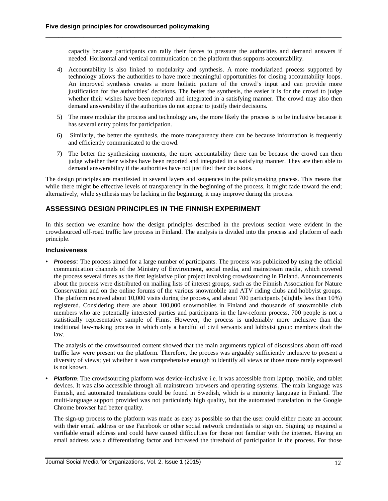capacity because participants can rally their forces to pressure the authorities and demand answers if needed. Horizontal and vertical communication on the platform thus supports accountability.

**\_\_\_\_\_\_\_\_\_\_\_\_\_\_\_\_\_\_\_\_\_\_\_\_\_\_\_\_\_\_\_\_\_\_\_\_\_\_\_\_\_\_\_\_\_\_\_\_\_\_\_\_\_\_\_\_\_\_\_\_\_\_\_\_\_\_\_\_\_\_**

- 4) Accountability is also linked to modularity and synthesis. A more modularized process supported by technology allows the authorities to have more meaningful opportunities for closing accountability loops. An improved synthesis creates a more holistic picture of the crowd's input and can provide more justification for the authorities' decisions. The better the synthesis, the easier it is for the crowd to judge whether their wishes have been reported and integrated in a satisfying manner. The crowd may also then demand answerability if the authorities do not appear to justify their decisions.
- 5) The more modular the process and technology are, the more likely the process is to be inclusive because it has several entry points for participation.
- 6) Similarly, the better the synthesis, the more transparency there can be because information is frequently and efficiently communicated to the crowd.
- 7) The better the synthesizing moments, the more accountability there can be because the crowd can then judge whether their wishes have been reported and integrated in a satisfying manner. They are then able to demand answerability if the authorities have not justified their decisions.

The design principles are manifested in several layers and sequences in the policymaking process. This means that while there might be effective levels of transparency in the beginning of the process, it might fade toward the end; alternatively, while synthesis may be lacking in the beginning, it may improve during the process.

# **ASSESSING DESIGN PRINCIPLES IN THE FINNISH EXPERIMENT**

In this section we examine how the design principles described in the previous section were evident in the crowdsourced off-road traffic law process in Finland. The analysis is divided into the process and platform of each principle.

#### **Inclusiveness**

**•** *Process*: The process aimed for a large number of participants. The process was publicized by using the official communication channels of the Ministry of Environment, social media, and mainstream media, which covered the process several times as the first legislative pilot project involving crowdsourcing in Finland. Announcements about the process were distributed on mailing lists of interest groups, such as the Finnish Association for Nature Conservation and on the online forums of the various snowmobile and ATV riding clubs and hobbyist groups. The platform received about 10,000 visits during the process, and about 700 participants (slightly less than 10%) registered. Considering there are about 100,000 snowmobiles in Finland and thousands of snowmobile club members who are potentially interested parties and participants in the law-reform process, 700 people is not a statistically representative sample of Finns. However, the process is undeniably more inclusive than the traditional law-making process in which only a handful of civil servants and lobbyist group members draft the law.

The analysis of the crowdsourced content showed that the main arguments typical of discussions about off-road traffic law were present on the platform. Therefore, the process was arguably sufficiently inclusive to present a diversity of views; yet whether it was comprehensive enough to identify all views or those more rarely expressed is not known.

**•** *Platform*: The crowdsourcing platform was device-inclusive i.e. it was accessible from laptop, mobile, and tablet devices. It was also accessible through all mainstream browsers and operating systems. The main language was Finnish, and automated translations could be found in Swedish, which is a minority language in Finland. The multi-language support provided was not particularly high quality, but the automated translation in the Google Chrome browser had better quality.

The sign-up process to the platform was made as easy as possible so that the user could either create an account with their email address or use Facebook or other social network credentials to sign on. Signing up required a verifiable email address and could have caused difficulties for those not familiar with the internet. Having an email address was a differentiating factor and increased the threshold of participation in the process. For those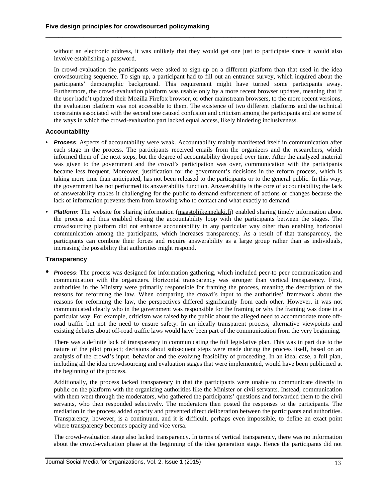without an electronic address, it was unlikely that they would get one just to participate since it would also involve establishing a password.

**\_\_\_\_\_\_\_\_\_\_\_\_\_\_\_\_\_\_\_\_\_\_\_\_\_\_\_\_\_\_\_\_\_\_\_\_\_\_\_\_\_\_\_\_\_\_\_\_\_\_\_\_\_\_\_\_\_\_\_\_\_\_\_\_\_\_\_\_\_\_**

In crowd-evaluation the participants were asked to sign-up on a different platform than that used in the idea crowdsourcing sequence. To sign up, a participant had to fill out an entrance survey, which inquired about the participants' demographic background. This requirement might have turned some participants away. Furthermore, the crowd-evaluation platform was usable only by a more recent browser updates, meaning that if the user hadn't updated their Mozilla Firefox browser, or other mainstream browsers, to the more recent versions, the evaluation platform was not accessible to them. The existence of two different platforms and the technical constraints associated with the second one caused confusion and criticism among the participants and are some of the ways in which the crowd-evaluation part lacked equal access, likely hindering inclusiveness.

#### **Accountability**

- **•** *Process*: Aspects of accountability were weak. Accountability mainly manifested itself in communication after each stage in the process. The participants received emails from the organizers and the researchers, which informed them of the next steps, but the degree of accountability dropped over time. After the analyzed material was given to the government and the crowd's participation was over, communication with the participants became less frequent. Moreover, justification for the government's decisions in the reform process, which is taking more time than anticipated, has not been released to the participants or to the general public. In this way, the government has not performed its answerability function. Answerability is the core of accountability; the lack of answerability makes it challenging for the public to demand enforcement of actions or changes because the lack of information prevents them from knowing who to contact and what exactly to demand.
- **•** *Platform*: The website for sharing information [\(maastoliikennelaki.fi\)](http://maastoliikennelaki.fi/) enabled sharing timely information about the process and thus enabled closing the accountability loop with the participants between the stages. The crowdsourcing platform did not enhance accountability in any particular way other than enabling horizontal communication among the participants, which increases transparency. As a result of that transparency, the participants can combine their forces and require answerability as a large group rather than as individuals, increasing the possibility that authorities might respond.

#### **Transparency**

**•** *Process*: The process was designed for information gathering, which included peer-to peer communication and communication with the organizers. Horizontal transparency was stronger than vertical transparency. First, authorities in the Ministry were primarily responsible for framing the process, meaning the description of the reasons for reforming the law. When comparing the crowd's input to the authorities' framework about the reasons for reforming the law, the perspectives differed significantly from each other. However, it was not communicated clearly who in the government was responsible for the framing or why the framing was done in a particular way. For example, criticism was raised by the public about the alleged need to accommodate more offroad traffic but not the need to ensure safety. In an ideally transparent process, alternative viewpoints and existing debates about off-road traffic laws would have been part of the communication from the very beginning.

There was a definite lack of transparency in communicating the full legislative plan. This was in part due to the nature of the pilot project; decisions about subsequent steps were made during the process itself, based on an analysis of the crowd's input, behavior and the evolving feasibility of proceeding. In an ideal case, a full plan, including all the idea crowdsourcing and evaluation stages that were implemented, would have been publicized at the beginning of the process.

Additionally, the process lacked transparency in that the participants were unable to communicate directly in public on the platform with the organizing authorities like the Minister or civil servants. Instead, communication with them went through the moderators, who gathered the participants' questions and forwarded them to the civil servants, who then responded selectively. The moderators then posted the responses to the participants. The mediation in the process added opacity and prevented direct deliberation between the participants and authorities. Transparency, however, is a continuum, and it is difficult, perhaps even impossible, to define an exact point where transparency becomes opacity and vice versa.

The crowd-evaluation stage also lacked transparency. In terms of vertical transparency, there was no information about the crowd-evaluation phase at the beginning of the idea generation stage. Hence the participants did not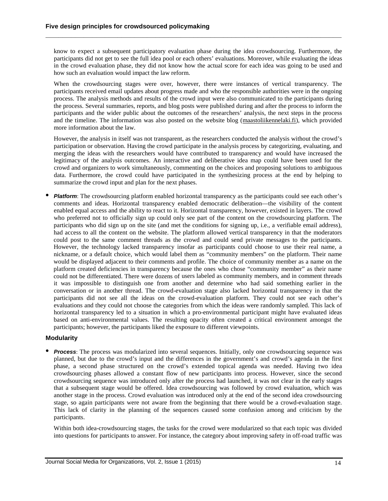know to expect a subsequent participatory evaluation phase during the idea crowdsourcing. Furthermore, the participants did not get to see the full idea pool or each others' evaluations. Moreover, while evaluating the ideas in the crowd evaluation phase, they did not know how the actual score for each idea was going to be used and how such an evaluation would impact the law reform.

**\_\_\_\_\_\_\_\_\_\_\_\_\_\_\_\_\_\_\_\_\_\_\_\_\_\_\_\_\_\_\_\_\_\_\_\_\_\_\_\_\_\_\_\_\_\_\_\_\_\_\_\_\_\_\_\_\_\_\_\_\_\_\_\_\_\_\_\_\_\_**

When the crowdsourcing stages were over, however, there were instances of vertical transparency. The participants received email updates about progress made and who the responsible authorities were in the ongoing process. The analysis methods and results of the crowd input were also communicated to the participants during the process. Several summaries, reports, and blog posts were published during and after the process to inform the participants and the wider public about the outcomes of the researchers' analysis, the next steps in the process and the timeline. The information was also posted on the website blog [\(maastoliikennelaki.fi\)](http://maastoliikennelaki.fi/), which provided more information about the law.

However, the analysis in itself was not transparent, as the researchers conducted the analysis without the crowd's participation or observation. Having the crowd participate in the analysis process by categorizing, evaluating, and merging the ideas with the researchers would have contributed to transparency and would have increased the legitimacy of the analysis outcomes. An interactive and deliberative idea map could have been used for the crowd and organizers to work simultaneously, commenting on the choices and proposing solutions to ambiguous data. Furthermore, the crowd could have participated in the synthesizing process at the end by helping to summarize the crowd input and plan for the next phases.

**•** *Platform*: The crowdsourcing platform enabled horizontal transparency as the participants could see each other's comments and ideas. Horizontal transparency enabled democratic deliberation—the visibility of the content enabled equal access and the ability to react to it. Horizontal transparency, however, existed in layers. The crowd who preferred not to officially sign up could only see part of the content on the crowdsourcing platform. The participants who did sign up on the site (and met the conditions for signing up, i.e., a verifiable email address), had access to all the content on the website. The platform allowed vertical transparency in that the moderators could post to the same comment threads as the crowd and could send private messages to the participants. However, the technology lacked transparency insofar as participants could choose to use their real name, a nickname, or a default choice, which would label them as "community members" on the platform. Their name would be displayed adjacent to their comments and profile. The choice of community member as a name on the platform created deficiencies in transparency because the ones who chose "community member" as their name could not be differentiated. There were dozens of users labeled as community members, and in comment threads it was impossible to distinguish one from another and determine who had said something earlier in the conversation or in another thread. The crowd-evaluation stage also lacked horizontal transparency in that the participants did not see all the ideas on the crowd-evaluation platform. They could not see each other's evaluations and they could not choose the categories from which the ideas were randomly sampled. This lack of horizontal transparency led to a situation in which a pro-environmental participant might have evaluated ideas based on anti-environmental values. The resulting opacity often created a critical environment amongst the participants; however, the participants liked the exposure to different viewpoints.

#### **Modularity**

**•** *Process*: The process was modularized into several sequences. Initially, only one crowdsourcing sequence was planned, but due to the crowd's input and the differences in the government's and crowd's agenda in the first phase, a second phase structured on the crowd's extended topical agenda was needed. Having two idea crowdsourcing phases allowed a constant flow of new participants into process. However, since the second crowdsourcing sequence was introduced only after the process had launched, it was not clear in the early stages that a subsequent stage would be offered. Idea crowdsourcing was followed by crowd evaluation, which was another stage in the process. Crowd evaluation was introduced only at the end of the second idea crowdsourcing stage, so again participants were not aware from the beginning that there would be a crowd-evaluation stage. This lack of clarity in the planning of the sequences caused some confusion among and criticism by the participants.

Within both idea-crowdsourcing stages, the tasks for the crowd were modularized so that each topic was divided into questions for participants to answer. For instance, the category about improving safety in off-road traffic was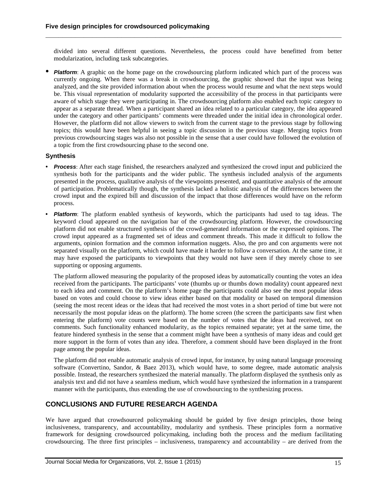divided into several different questions. Nevertheless, the process could have benefitted from better modularization, including task subcategories.

**\_\_\_\_\_\_\_\_\_\_\_\_\_\_\_\_\_\_\_\_\_\_\_\_\_\_\_\_\_\_\_\_\_\_\_\_\_\_\_\_\_\_\_\_\_\_\_\_\_\_\_\_\_\_\_\_\_\_\_\_\_\_\_\_\_\_\_\_\_\_**

**•** *Platform*: <sup>A</sup> graphic on the home page on the crowdsourcing platform indicated which part of the process was currently ongoing. When there was a break in crowdsourcing, the graphic showed that the input was being analyzed, and the site provided information about when the process would resume and what the next steps would be. This visual representation of modularity supported the accessibility of the process in that participants were aware of which stage they were participating in. The crowdsourcing platform also enabled each topic category to appear as a separate thread. When a participant shared an idea related to a particular category, the idea appeared under the category and other participants' comments were threaded under the initial idea in chronological order. However, the platform did not allow viewers to switch from the current stage to the previous stage by following topics; this would have been helpful in seeing a topic discussion in the previous stage. Merging topics from previous crowdsourcing stages was also not possible in the sense that a user could have followed the evolution of a topic from the first crowdsourcing phase to the second one.

#### **Synthesis**

- **•** *Process*: After each stage finished, the researchers analyzed and synthesized the crowd input and publicized the synthesis both for the participants and the wider public. The synthesis included analysis of the arguments presented in the process, qualitative analysis of the viewpoints presented, and quantitative analysis of the amount of participation. Problematically though, the synthesis lacked a holistic analysis of the differences between the crowd input and the expired bill and discussion of the impact that those differences would have on the reform process.
- **•** *Platform*: The platform enabled synthesis of keywords, which the participants had used to tag ideas. The keyword cloud appeared on the navigation bar of the crowdsourcing platform. However, the crowdsourcing platform did not enable structured synthesis of the crowd-generated information or the expressed opinions. The crowd input appeared as a fragmented set of ideas and comment threads. This made it difficult to follow the arguments, opinion formation and the common information nuggets. Also, the pro and con arguments were not separated visually on the platform, which could have made it harder to follow a conversation. At the same time, it may have exposed the participants to viewpoints that they would not have seen if they merely chose to see supporting or opposing arguments.

The platform allowed measuring the popularity of the proposed ideas by automatically counting the votes an idea received from the participants. The participants' vote (thumbs up or thumbs down modality) count appeared next to each idea and comment. On the platform's home page the participants could also see the most popular ideas based on votes and could choose to view ideas either based on that modality or based on temporal dimension (seeing the most recent ideas or the ideas that had received the most votes in a short period of time but were not necessarily the most popular ideas on the platform). The home screen (the screen the participants saw first when entering the platform) vote counts were based on the number of votes that the ideas had received, not on comments. Such functionality enhanced modularity, as the topics remained separate; yet at the same time, the feature hindered synthesis in the sense that a comment might have been a synthesis of many ideas and could get more support in the form of votes than any idea. Therefore, a comment should have been displayed in the front page among the popular ideas.

The platform did not enable automatic analysis of crowd input, for instance, by using natural language processing software (Convertino, Sandor, & Baez 2013), which would have, to some degree, made automatic analysis possible. Instead, the researchers synthesized the material manually. The platform displayed the synthesis only as analysis text and did not have a seamless medium, which would have synthesized the information in a transparent manner with the participants, thus extending the use of crowdsourcing to the synthesizing process.

#### **CONCLUSIONS AND FUTURE RESEARCH AGENDA**

We have argued that crowdsourced policymaking should be guided by five design principles, those being inclusiveness, transparency, and accountability, modularity and synthesis. These principles form a normative framework for designing crowdsourced policymaking, including both the process and the medium facilitating crowdsourcing. The three first principles – inclusiveness, transparency and accountability – are derived from the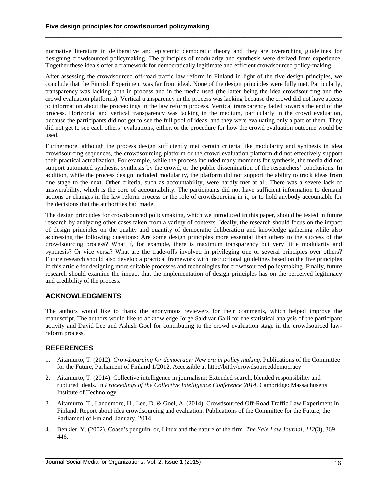normative literature in deliberative and epistemic democratic theory and they are overarching guidelines for designing crowdsourced policymaking. The principles of modularity and synthesis were derived from experience. Together these ideals offer a framework for democratically legitimate and efficient crowdsourced policy-making.

**\_\_\_\_\_\_\_\_\_\_\_\_\_\_\_\_\_\_\_\_\_\_\_\_\_\_\_\_\_\_\_\_\_\_\_\_\_\_\_\_\_\_\_\_\_\_\_\_\_\_\_\_\_\_\_\_\_\_\_\_\_\_\_\_\_\_\_\_\_\_**

After assessing the crowdsourced off-road traffic law reform in Finland in light of the five design principles, we conclude that the Finnish Experiment was far from ideal. None of the design principles were fully met. Particularly, transparency was lacking both in process and in the media used (the latter being the idea crowdsourcing and the crowd evaluation platforms). Vertical transparency in the process was lacking because the crowd did not have access to information about the proceedings in the law reform process. Vertical transparency faded towards the end of the process. Horizontal and vertical transparency was lacking in the medium, particularly in the crowd evaluation, because the participants did not get to see the full pool of ideas, and they were evaluating only a part of them. They did not get to see each others' evaluations, either, or the procedure for how the crowd evaluation outcome would be used.

Furthermore, although the process design sufficiently met certain criteria like modularity and synthesis in idea crowdsourcing sequences, the crowdsourcing platform or the crowd evaluation platform did not effectively support their practical actualization. For example, while the process included many moments for synthesis, the media did not support automated synthesis, synthesis by the crowd, or the public dissemination of the researchers' conclusions. In addition, while the process design included modularity, the platform did not support the ability to track ideas from one stage to the next. Other criteria, such as accountability, were hardly met at all. There was a severe lack of answerability, which is the core of accountability. The participants did not have sufficient information to demand actions or changes in the law reform process or the role of crowdsourcing in it, or to hold anybody accountable for the decisions that the authorities had made.

The design principles for crowdsourced policymaking, which we introduced in this paper, should be tested in future research by analyzing other cases taken from a variety of contexts. Ideally, the research should focus on the impact of design principles on the quality and quantity of democratic deliberation and knowledge gathering while also addressing the following questions: Are some design principles more essential than others to the success of the crowdsourcing process? What if, for example, there is maximum transparency but very little modularity and synthesis? Or vice versa? What are the trade-offs involved in privileging one or several principles over others? Future research should also develop a practical framework with instructional guidelines based on the five principles in this article for designing more suitable processes and technologies for crowdsourced policymaking. Finally, future research should examine the impact that the implementation of design principles has on the perceived legitimacy and credibility of the process.

# **ACKNOWLEDGMENTS**

The authors would like to thank the anonymous reviewers for their comments, which helped improve the manuscript. The authors would like to acknowledge Jorge Saldivar Galli for the statistical analysis of the participant activity and David Lee and Ashish Goel for contributing to the crowd evaluation stage in the crowdsourced lawreform process.

# **REFERENCES**

- 1. Aitamurto, T. (2012). *Crowdsourcing for democracy: New era in policy making.* Publications of the Committee for the Future, Parliament of Finland 1/2012. Accessible at http://bit.ly/crowdsourceddemocracy
- 2. Aitamurto, T. (2014). Collective intelligence in journalism: Extended search, blended responsibility and ruptured ideals. In *Proceedings of the Collective Intelligence Conference 2014*. Cambridge: Massachusetts Institute of Technology.
- 3. Aitamurto, T., Landemore, H., Lee, D. & Goel, A. (2014). Crowdsourced Off-Road Traffic Law Experiment In Finland. Report about idea crowdsourcing and evaluation. Publications of the Committee for the Future, the Parliament of Finland. January, 2014.
- 4. Benkler, Y. (2002). Coase's penguin, or, Linux and the nature of the firm. *The Yale Law Journal, 112*(3), 369– 446.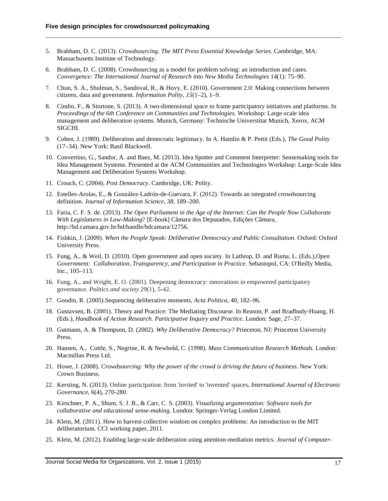5. Brabham, D. C. (2013). *Crowdsourcing. The MIT Press Essential Knowledge Series*. Cambridge, MA: Massachusetts Institute of Technology.

**\_\_\_\_\_\_\_\_\_\_\_\_\_\_\_\_\_\_\_\_\_\_\_\_\_\_\_\_\_\_\_\_\_\_\_\_\_\_\_\_\_\_\_\_\_\_\_\_\_\_\_\_\_\_\_\_\_\_\_\_\_\_\_\_\_\_\_\_\_\_**

- 6. Brabham, D. C. (2008). Crowdsourcing as a model for problem solving: an introduction and cases. *Convergence: The International Journal of Research into New Media Technologies* 14(1): 75–90.
- 7. Chun, S. A., Shulman, S., Sandoval, R., & Hovy, E. (2010). Government 2.0: Making connections between citizens, data and government. *Information Polity, 15*(1–2), 1–9.
- 8. Cindio, F., & Stortone, S. (2013). A two-dimensional space to frame participatory initiatives and platforms. In *Proceedings of the 6th Conference on Communities and Technologies.* Workshop: Large-scale idea management and deliberation systems. Munich, Germany: Technische Universtitat Munich, Xerox, ACM SIGCHI.
- 9. Cohen, J. (1989). Deliberation and democratic legitimacy. In A. Hamlin & P. Pettit (Eds.), *The Good Polity* (17–34). New York: Basil Blackwell.
- 10. Convertino, G., Sandor, A. and Baez, M. (2013). Idea Spotter and Comment Interpreter: Sensemaking tools for Idea Management Systems. Presented at the ACM Communities and Technologies Workshop: Large-Scale Idea Management and Deliberation Systems Workshop.
- 11. Crouch, C. (2004). *Post Democracy*. Cambridge, UK: Polity.
- 12. Estelles-Arolas, E., & González-Ladrón-de-Guevara, F. (2012). Towards an integrated crowdsourcing definition. *Journal of Information Science, 38*, 189–200.
- 13. Faria, C. F. S. de. (2013). *The Open Parliament in the Age of the Internet: Can the People Now Collaborate With Legislatures in Law-Making*? [E-book] Câmara dos Deputados, Edições Câmara, http://bd.camara.gov.br/bd/handle/bdcamara/12756.
- 14. Fishkin, J. (2009). *When the People Speak: Deliberative Democracy and Public Consultation.* Oxford: Oxford University Press.
- 15. Fung, A., & Weil, D. (2010). Open government and open society. In Lathrop, D. and Ruma, L. (Eds.),*Open Government: Collaboration, Transparency, and Participation in Practice.* Sebastopol, CA: O'Reilly Media, Inc., 105–113.
- 16. Fung, A., and Wright, E. O. (2001). Deepening democracy: innovations in empowered participatory governance. *Politics and society* 29(1), 5-42.
- 17. Goodin, R. (2005).Sequencing deliberative moments, *Acta Politica*, 40, 182–96.
- 18. Gustavsen, B. (2001). Theory and Practice: The Mediating Discourse. In Reason, P. and Bradbudy-Huang, H. (Eds.), *Handbook of Action Research. Participative Inquiry and Practice*. London: Sage, 27–37.
- 19. Gutmann, A. & Thompson, D. (2002). *Why Deliberative Democracy?* Princeton, NJ: Princeton University Press.
- 20. Hansen, A., Cottle, S., Negrine, R. & Newbold, C. (1998). *Mass Communication Research Methods*. London: Macmillan Press Ltd.
- 21. Howe, J. (2008). *Crowdsourcing: Why the power of the crowd is driving the future of business.* New York: Crown Business.
- 22. Kersting, N. (2013). Online [participation:](http://inderscience.metapress.com/content/e03227x217h774r2/) from 'invited' to 'invented' spaces**.** *International Journal of Electronic Governance*, 6(4), 270-280.
- 23. Kirschner, P. A., Shum, S. J. B., & Carr, C. S. (2003). *Visualizing argumentation: Software tools for collaborative and educational sense-making.* London: Springer-Verlag London Limited.
- 24. Klein, M. (2011). How to harvest collective wisdom on complex problems: An introduction to the MIT deliberatorium. CCI working paper, 2011.
- 25. Klein, M. (2012). Enabling large-scale deliberation using attention-mediation metrics. *Journal of Computer-*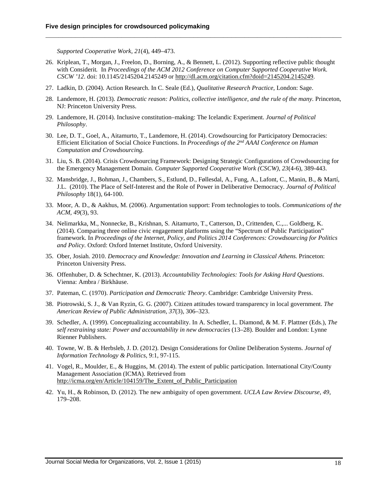*Supported Cooperative Work, 21*(4), 449–473.

26. Kriplean, T., Morgan, J., Freelon, D., Borning, A., & Bennett, L. (2012). Supporting reflective public thought with Considerit*.* In *Proceedings of the ACM 2012 Conference on Computer Supported Cooperative Work. CSCW '12*. doi: 10.1145/2145204.2145249 or [http://dl.acm.org/citation.cfm?doid=2145204.2145249.](http://dl.acm.org/citation.cfm?doid=2145204.2145249)

**\_\_\_\_\_\_\_\_\_\_\_\_\_\_\_\_\_\_\_\_\_\_\_\_\_\_\_\_\_\_\_\_\_\_\_\_\_\_\_\_\_\_\_\_\_\_\_\_\_\_\_\_\_\_\_\_\_\_\_\_\_\_\_\_\_\_\_\_\_\_**

- 27. Ladkin, D. (2004). Action Research. In C. Seale (Ed.), *Qualitative Research Practice,* London: Sage.
- 28. Landemore, H. (2013). *Democratic reason: Politics, collective intelligence, and the rule of the many.* Princeton, NJ: Princeton University Press.
- 29. Landemore, H. (2014). Inclusive constitution–making: The Icelandic Experiment. *Journal of Political Philosophy*.
- 30. Lee, D. T., Goel, A., Aitamurto, T., Landemore, H. (2014). Crowdsourcing for Participatory Democracies: Efficient Elicitation of Social Choice Functions. In *Proceedings of the 2nd AAAI Conference on Human Computation and Crowdsourcing.*
- 31. Liu, S. B. (2014). Crisis Crowdsourcing Framework: Designing Strategic Configurations of Crowdsourcing for the Emergency Management Domain. *Computer Supported Cooperative Work (CSCW)*, *23*(4-6), 389-443.
- 32. Mansbridge, J., Bohman, J., Chambers, S., Estlund, D., Føllesdal, A., Fung, A., Lafont, C., Manin, B., & Martí, J.L. (2010). The Place of Self-Interest and the Role of Power in Deliberative Democracy. *Journal of Political Philosophy* 18(1), 64-100.
- 33. Moor, A. D., & Aakhus, M. (2006). Argumentation support: From technologies to tools. *Communications of the ACM, 49*(3), 93.
- 34. Nelimarkka, M., Nonnecke, B., Krishnan, S. Aitamurto, T., Catterson, D., Crittenden, C.,... Goldberg, K. (2014). Comparing three online civic engagement platforms using the "Spectrum of Public Participation" framework. In *Proceedings of the Internet, Policy, and Politics 2014 Conferences: Crowdsourcing for Politics and Policy*. Oxford: Oxford Internet Institute, Oxford University.
- 35. Ober, Josiah. 2010. *Democracy and Knowledge: Innovation and Learning in Classical Athens.* Princeton: Princeton University Press.
- 36. Offenhuber, D. & Schechtner, K. (2013). *Accountability Technologies: Tools for Asking Hard Questions*. Vienna: Ambra / Birkhäuse.
- 37. Pateman, C. (1970). *Participation and Democratic Theory*. Cambridge: Cambridge University Press.
- 38. Piotrowski, S. J., & Van Ryzin, G. G. (2007). Citizen attitudes toward transparency in local government. *The American Review of Public Administration, 37*(3), 306–323.
- 39. Schedler, A. (1999). Conceptualizing accountability. In A. Schedler, L. Diamond, & M. F. Plattner (Eds.), *The self restraining state: Power and accountability in new democracies* (13–28). Boulder and London: Lynne Rienner Publishers.
- 40. Towne, W. B. & Herbsleb, J. D. (2012). Design Considerations for Online Deliberation Systems. *Journal of Information Technology & Politics*, 9:1, 97-115.
- 41. Vogel, R., Moulder, E., & Huggins, M. (2014). The extent of public participation. International City/County Management Association (ICMA). Retrieved from [http://icma.org/en/Article/104159/The\\_Extent\\_of\\_Public\\_Participation](http://icma.org/en/Article/104159/The_Extent_of_Public_Participation)
- 42. Yu, H., & Robinson, D. (2012). The new ambiguity of open government. *UCLA Law Review Discourse, 49*, 179–208.